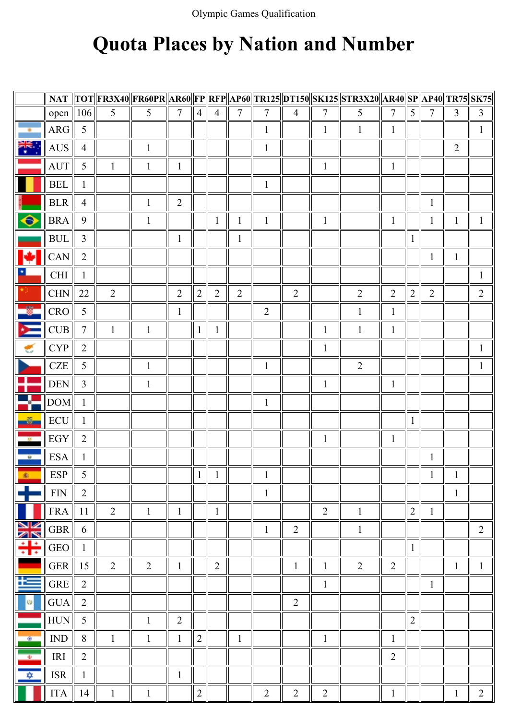## Quota Places by Nation and Number

|                         |                                  |                |                |                |                |                              |                |                |                |                |                | NAT TOT FR3X40 FR60PR AR60 FP RFP AP60 TR125 DT150 SK125 STR3X20 AR40 SP AP40 TR75 SK75 |                |                |                |                |                |
|-------------------------|----------------------------------|----------------|----------------|----------------|----------------|------------------------------|----------------|----------------|----------------|----------------|----------------|-----------------------------------------------------------------------------------------|----------------|----------------|----------------|----------------|----------------|
|                         | open    106                      |                | 5 <sup>5</sup> | 5 <sup>5</sup> | $\tau$         | $\overline{4}$               | $\overline{4}$ | 7              | $\overline{7}$ | $\overline{4}$ | 7              | 5                                                                                       | $\tau$         | 5 <sup>1</sup> | $\overline{7}$ | $\overline{3}$ | $\mathfrak{Z}$ |
| ×                       | <b>ARG</b>                       | 5              |                |                |                |                              |                |                | $\mathbf{1}$   |                | $\mathbf{1}$   | $\mathbf{1}$                                                                            | $\mathbf{1}$   |                |                |                | 1              |
| i¥∗<br>⊼k               | <b>AUS</b>                       | $\overline{4}$ |                | $\mathbf{1}$   |                |                              |                |                | $\mathbf{1}$   |                |                |                                                                                         |                |                |                | $\overline{2}$ |                |
|                         | <b>AUT</b>                       | 5              | $\mathbf{1}$   | $\mathbf{1}$   | $\mathbf{1}$   |                              |                |                |                |                | $\mathbf{1}$   |                                                                                         | $\mathbf{1}$   |                |                |                |                |
|                         | $\operatorname{BEL}$             | $\mathbf{1}$   |                |                |                |                              |                |                | $\mathbf{1}$   |                |                |                                                                                         |                |                |                |                |                |
|                         | <b>BLR</b>                       | $\overline{4}$ |                | $\mathbf{1}$   | $\overline{2}$ |                              |                |                |                |                |                |                                                                                         |                |                | $\mathbf{1}$   |                |                |
| ⊖                       | <b>BRA</b>                       | 9              |                | $\mathbf{1}$   |                |                              | $\mathbf{1}$   | $\mathbf{1}$   | $\mathbf{1}$   |                | $\mathbf{1}$   |                                                                                         | $\mathbf{1}$   |                | $\mathbf{1}$   | $\mathbf{1}$   | $\mathbf{1}$   |
|                         | <b>BUL</b>                       | $\overline{3}$ |                |                | $\mathbf{1}$   |                              |                | $\mathbf{1}$   |                |                |                |                                                                                         |                | $\mathbf{1}$   |                |                |                |
|                         | CAN                              | $\overline{2}$ |                |                |                |                              |                |                |                |                |                |                                                                                         |                |                | $\mathbf{1}$   | $\mathbf{1}$   |                |
| 土                       | $\mathop{\rm CHI}\nolimits$      | $\mathbf{1}$   |                |                |                |                              |                |                |                |                |                |                                                                                         |                |                |                |                | 1              |
|                         | CHN                              | 22             | 2              |                | $\overline{2}$ | $\overline{2}$               | 2              | $\overline{2}$ |                | $\overline{2}$ |                | $\overline{2}$                                                                          | $\overline{2}$ | $\overline{2}$ | $\overline{2}$ |                | $\overline{2}$ |
| 參                       | CRO                              | 5              |                |                | $\mathbf{1}$   |                              |                |                | $\overline{2}$ |                |                | $\mathbf{1}$                                                                            | $\mathbf{1}$   |                |                |                |                |
| Þ.                      | CUB                              | $\tau$         | $\mathbf{1}$   | $\mathbf{1}$   |                | $1\vert$                     | $\mathbf{1}$   |                |                |                | $\mathbf{1}$   | $\mathbf{1}$                                                                            | $\mathbf{1}$   |                |                |                |                |
| ۳                       | <b>CYP</b>                       | $\overline{2}$ |                |                |                |                              |                |                |                |                | $\mathbf{1}$   |                                                                                         |                |                |                |                | $\mathbf{1}$   |
|                         | CZE                              | 5              |                | $\mathbf{1}$   |                |                              |                |                | $\mathbf{1}$   |                |                | $\overline{2}$                                                                          |                |                |                |                | 1              |
|                         | $\ensuremath{\mathsf{DEN}}$      | $\overline{3}$ |                | $\mathbf{1}$   |                |                              |                |                |                |                | $\mathbf{1}$   |                                                                                         | $\mathbf{1}$   |                |                |                |                |
| ÷                       | $\ $ DOM $\ $ 1                  |                |                |                |                |                              |                |                | $\mathbf{1}$   |                |                |                                                                                         |                |                |                |                |                |
| $\frac{3}{2}$           | ECU                              | $\mathbf{1}$   |                |                |                |                              |                |                |                |                |                |                                                                                         |                | $\mathbf{1}$   |                |                |                |
| $\mathbf{u}$            | EGY                              | 2              |                |                |                |                              |                |                |                |                | $\mathbf{1}$   |                                                                                         | $\mathbf{1}$   |                |                |                |                |
| $\rightarrow$           | <b>ESA</b>                       | $\mathbf{1}$   |                |                |                |                              |                |                |                |                |                |                                                                                         |                |                | $\mathbf{1}$   |                |                |
| Iп<br>素                 | <b>ESP</b>                       | 5              |                |                |                | $\mathbf{1}$<br>$\mathsf{I}$ | $\mathbf{1}$   |                | $\mathbf{1}$   |                |                |                                                                                         |                |                | $\mathbf{1}$   | $\mathbf{1}$   |                |
|                         | <b>FIN</b>                       | $\overline{2}$ |                |                |                |                              |                |                | $\mathbf{1}$   |                |                |                                                                                         |                |                |                | $\mathbf{1}$   |                |
|                         | <b>FRA</b>                       | 11             | $\overline{2}$ | $\mathbf{1}$   | $\mathbf{1}$   |                              | $\mathbf{1}$   |                |                |                | $\overline{2}$ | $\mathbf{1}$                                                                            |                | $\overline{2}$ | $\mathbf{1}$   |                |                |
| NK<br>AR                | $\operatorname{GBR}$             | 6              |                |                |                |                              |                |                | $\mathbf{1}$   | $\overline{2}$ |                | $\mathbf{1}$                                                                            |                |                |                |                | $\overline{2}$ |
| $\div$                  | <b>GEO</b>                       | $\mathbf{1}$   |                |                |                |                              |                |                |                |                |                |                                                                                         |                | $\mathbf{1}$   |                |                |                |
|                         | ${\tt GER}$                      | 15             | $\overline{2}$ | 2              | $\mathbf{1}$   |                              | $\overline{2}$ |                |                | $\mathbf{1}$   | $\mathbf{1}$   | $\overline{2}$                                                                          | $\overline{2}$ |                |                | $\mathbf{1}$   | $\mathbf{1}$   |
| 氐                       | <b>GRE</b>                       | $\overline{2}$ |                |                |                |                              |                |                |                |                | $\mathbf{1}$   |                                                                                         |                |                | $\mathbf{1}$   |                |                |
| <b>CD</b>               | <b>GUA</b>                       | $\overline{2}$ |                |                |                |                              |                |                |                | $\overline{2}$ |                |                                                                                         |                |                |                |                |                |
|                         | ${\rm HUN}$                      | 5              |                | $\mathbf{1}$   | $\overline{2}$ |                              |                |                |                |                |                |                                                                                         |                | $\sqrt{2}$     |                |                |                |
| $^{\circ}$              | $\mathbb{I}\mathsf{N}\mathsf{D}$ | 8              | $\mathbf{1}$   | $\mathbf{1}$   | $\mathbf{1}$   | $\overline{2}$               |                | $\mathbf{1}$   |                |                | $\mathbf{1}$   |                                                                                         | $\mathbf{1}$   |                |                |                |                |
| $\overline{\mathbf{e}}$ | IRI                              | $\overline{2}$ |                |                |                |                              |                |                |                |                |                |                                                                                         | $\overline{2}$ |                |                |                |                |
| ✿                       | <b>ISR</b>                       | $\mathbf{1}$   |                |                | $\mathbf{1}$   |                              |                |                |                |                |                |                                                                                         |                |                |                |                |                |
|                         | <b>ITA</b>                       | 14             | $\mathbf{1}$   | $\mathbf{1}$   |                | 2 <sup>1</sup>               |                |                | $\overline{2}$ | $\overline{2}$ | $\overline{2}$ |                                                                                         | $\mathbf{1}$   |                |                | $\mathbf{1}$   | $\overline{2}$ |